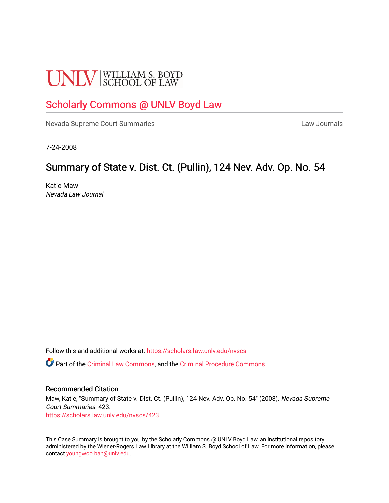# **UNLV** SCHOOL OF LAW

# [Scholarly Commons @ UNLV Boyd Law](https://scholars.law.unlv.edu/)

[Nevada Supreme Court Summaries](https://scholars.law.unlv.edu/nvscs) **Law Journals** Law Journals

7-24-2008

# Summary of State v. Dist. Ct. (Pullin), 124 Nev. Adv. Op. No. 54

Katie Maw Nevada Law Journal

Follow this and additional works at: [https://scholars.law.unlv.edu/nvscs](https://scholars.law.unlv.edu/nvscs?utm_source=scholars.law.unlv.edu%2Fnvscs%2F423&utm_medium=PDF&utm_campaign=PDFCoverPages)

Part of the [Criminal Law Commons,](http://network.bepress.com/hgg/discipline/912?utm_source=scholars.law.unlv.edu%2Fnvscs%2F423&utm_medium=PDF&utm_campaign=PDFCoverPages) and the [Criminal Procedure Commons](http://network.bepress.com/hgg/discipline/1073?utm_source=scholars.law.unlv.edu%2Fnvscs%2F423&utm_medium=PDF&utm_campaign=PDFCoverPages)

#### Recommended Citation

Maw, Katie, "Summary of State v. Dist. Ct. (Pullin), 124 Nev. Adv. Op. No. 54" (2008). Nevada Supreme Court Summaries. 423. [https://scholars.law.unlv.edu/nvscs/423](https://scholars.law.unlv.edu/nvscs/423?utm_source=scholars.law.unlv.edu%2Fnvscs%2F423&utm_medium=PDF&utm_campaign=PDFCoverPages)

This Case Summary is brought to you by the Scholarly Commons @ UNLV Boyd Law, an institutional repository administered by the Wiener-Rogers Law Library at the William S. Boyd School of Law. For more information, please contact [youngwoo.ban@unlv.edu](mailto:youngwoo.ban@unlv.edu).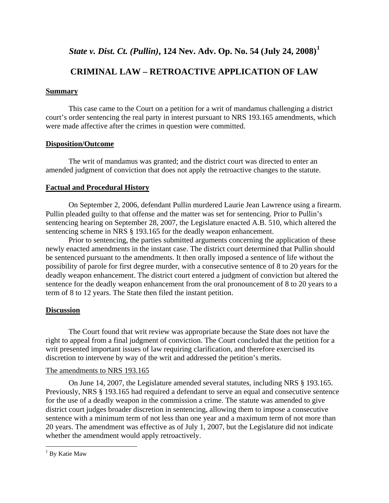*State v. Dist. Ct. (Pullin)***, 124 Nev. Adv. Op. No. 54 (July 24, 2008)[1](#page-1-0)**

# **CRIMINAL LAW – RETROACTIVE APPLICATION OF LAW**

### **Summary**

This case came to the Court on a petition for a writ of mandamus challenging a district court's order sentencing the real party in interest pursuant to NRS 193.165 amendments, which were made affective after the crimes in question were committed.

## **Disposition/Outcome**

The writ of mandamus was granted; and the district court was directed to enter an amended judgment of conviction that does not apply the retroactive changes to the statute.

# **Factual and Procedural History**

On September 2, 2006, defendant Pullin murdered Laurie Jean Lawrence using a firearm. Pullin pleaded guilty to that offense and the matter was set for sentencing. Prior to Pullin's sentencing hearing on September 28, 2007, the Legislature enacted A.B. 510, which altered the sentencing scheme in NRS § 193.165 for the deadly weapon enhancement.

Prior to sentencing, the parties submitted arguments concerning the application of these newly enacted amendments in the instant case. The district court determined that Pullin should be sentenced pursuant to the amendments. It then orally imposed a sentence of life without the possibility of parole for first degree murder, with a consecutive sentence of 8 to 20 years for the deadly weapon enhancement. The district court entered a judgment of conviction but altered the sentence for the deadly weapon enhancement from the oral pronouncement of 8 to 20 years to a term of 8 to 12 years. The State then filed the instant petition.

# **Discussion**

The Court found that writ review was appropriate because the State does not have the right to appeal from a final judgment of conviction. The Court concluded that the petition for a writ presented important issues of law requiring clarification, and therefore exercised its discretion to intervene by way of the writ and addressed the petition's merits.

## The amendments to NRS 193.165

On June 14, 2007, the Legislature amended several statutes, including NRS § 193.165. Previously, NRS § 193.165 had required a defendant to serve an equal and consecutive sentence for the use of a deadly weapon in the commission a crime. The statute was amended to give district court judges broader discretion in sentencing, allowing them to impose a consecutive sentence with a minimum term of not less than one year and a maximum term of not more than 20 years. The amendment was effective as of July 1, 2007, but the Legislature did not indicate whether the amendment would apply retroactively.

 $\overline{a}$ 

<span id="page-1-0"></span><sup>&</sup>lt;sup>1</sup> By Katie Maw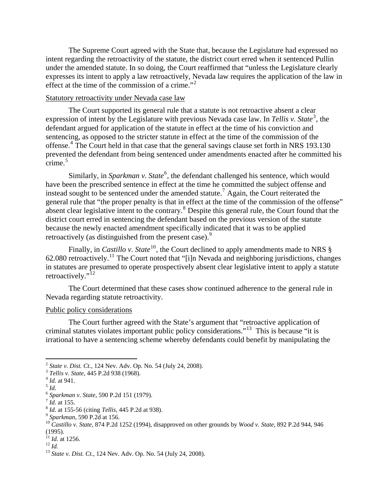The Supreme Court agreed with the State that, because the Legislature had expressed no intent regarding the retroactivity of the statute, the district court erred when it sentenced Pullin under the amended statute. In so doing, the Court reaffirmed that "unless the Legislature clearly expresses its intent to apply a law retroactively, Nevada law requires the application of the law in effect at the time of the commission of a crime. $^{2}$  $^{2}$  $^{2}$ 

#### Statutory retroactivity under Nevada case law

The Court supported its general rule that a statute is not retroactive absent a clear expression of intent by the Legislature with previous Nevada case law. In *Tellis v. State*<sup>[3](#page-2-0)</sup>, the defendant argued for application of the statute in effect at the time of his conviction and sentencing, as opposed to the stricter statute in effect at the time of the commission of the offense.<sup>[4](#page-2-0)</sup> The Court held in that case that the general savings clause set forth in NRS 193.130 prevented the defendant from being sentenced under amendments enacted after he committed his crime. $5$ 

Similarly, in *Sparkman v. State*<sup>[6](#page-2-0)</sup>, the defendant challenged his sentence, which would have been the prescribed sentence in effect at the time he committed the subject offense and instead sought to be sentenced under the amended statute.<sup>[7](#page-2-0)</sup> Again, the Court reiterated the general rule that "the proper penalty is that in effect at the time of the commission of the offense" absent clear legislative intent to the contrary.<sup>[8](#page-2-0)</sup> Despite this general rule, the Court found that the district court erred in sentencing the defendant based on the previous version of the statute because the newly enacted amendment specifically indicated that it was to be applied retroactively (as distinguished from the present case).<sup>[9](#page-2-0)</sup>

Finally, in *Castillo v. State*<sup>[10](#page-2-0)</sup>, the Court declined to apply amendments made to NRS  $\S$ 62.080 retroactively.[11](#page-2-0) The Court noted that "[i]n Nevada and neighboring jurisdictions, changes in statutes are presumed to operate prospectively absent clear legislative intent to apply a statute retroactively."<sup>[12](#page-2-0)</sup>

The Court determined that these cases show continued adherence to the general rule in Nevada regarding statute retroactivity.

#### Public policy considerations

The Court further agreed with the State's argument that "retroactive application of criminal statutes violates important public policy considerations."[13](#page-2-0) This is because "it is irrational to have a sentencing scheme whereby defendants could benefit by manipulating the

 $\overline{a}$ 

<span id="page-2-0"></span><sup>&</sup>lt;sup>2</sup> *State v. Dist. Ct.*, 124 Nev. Adv. Op. No. 54 (July 24, 2008).<br><sup>3</sup> *Tellis v. State*, 445 P.2d 938 (1968).<br><sup>4</sup> *Id.* at 941. <sup>5</sup> *Id.* 

<sup>&</sup>lt;sup>6</sup> Sparkman v. State, 590 P.2d 151 (1979).<br>
<sup>7</sup> Id. at 155.<br>
<sup>8</sup> Id. at 155-56 (citing Tellis, 445 P.2d at 938).<br>
<sup>9</sup> Sparkman, 590 P.2d at 156.<br>
<sup>10</sup> Castillo v. State, 874 P.2d 1252 (1994), disapproved on other grounds  $(1995)$ .<br><sup>11</sup> *Id.* at 1256.

<sup>&</sup>lt;sup>12</sup> *Id.* <sup>13</sup> *State v. Dist. Ct.*, 124 Nev. Adv. Op. No. 54 (July 24, 2008).